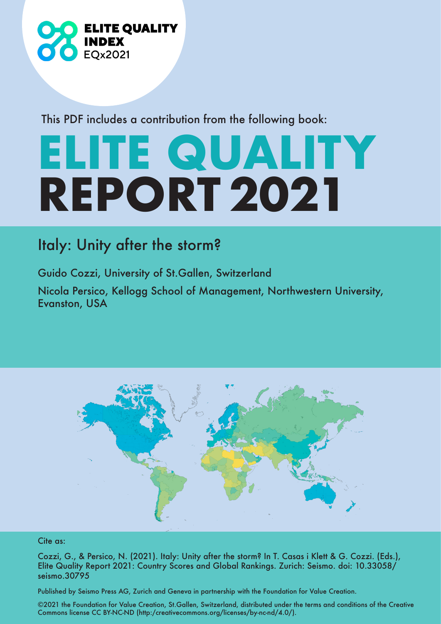

This PDF includes a contribution from the following book:

## **ELITE QUALITY REPORT 2021**

## Italy: Unity after the storm?

Guido Cozzi, University of St.Gallen, Switzerland Nicola Persico, Kellogg School of Management, Northwestern University, Evanston, USA



## Cite as:

Cozzi, G., & Persico, N. (2021). Italy: Unity after the storm? In T. Casas i Klett & G. Cozzi. (Eds.), Elite Quality Report 2021: Country Scores and Global Rankings. Zurich: Seismo. doi: 10.33058/ seismo.30795

Published by Seismo Press AG, Zurich and Geneva in partnership with the Foundation for Value Creation.

©2021 the Foundation for Value Creation, St.Gallen, Switzerland, distributed under the terms and conditions of the Creative Commons license CC BY-NC-ND (http:/creativecommons.org/licenses/by-nc-nd/4.0/).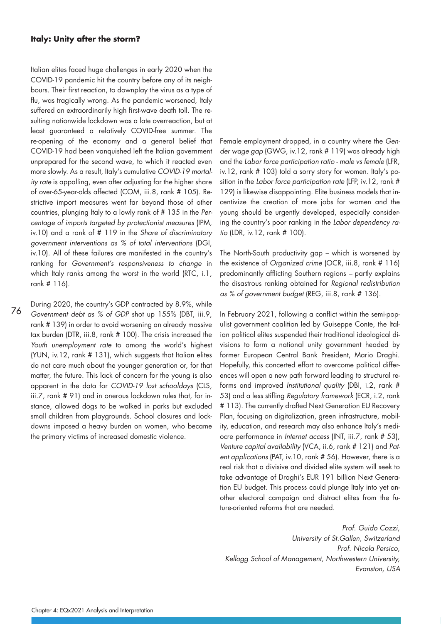## **Italy: Unity after the storm?**

Italian elites faced huge challenges in early 2020 when the COVID-19 pandemic hit the country before any of its neighbours. Their first reaction, to downplay the virus as a type of flu, was tragically wrong. As the pandemic worsened, Italy suffered an extraordinarily high first-wave death toll. The resulting nationwide lockdown was a late overreaction, but at least guaranteed a relatively COVID-free summer. The re-opening of the economy and a general belief that COVID-19 had been vanquished left the Italian government unprepared for the second wave, to which it reacted even more slowly. As a result, Italy's cumulative COVID-19 mortality rate is appalling, even after adjusting for the higher share of over-65-year-olds affected (COM, iii.8, rank # 105). Restrictive import measures went far beyond those of other countries, plunging Italy to a lowly rank of # 135 in the Percentage of imports targeted by protectionist measures (IPM, iv.10) and a rank of # 119 in the Share of discriminatory government interventions as % of total interventions (DGI, iv.10). All of these failures are manifested in the country's ranking for Government's responsiveness to change in which Italy ranks among the worst in the world (RTC, i.1, rank # 116).

76 During 2020, the country's GDP contracted by 8.9%, while Government debt as % of GDP shot up 155% (DBT, iii.9, rank # 139) in order to avoid worsening an already massive tax burden (DTR, iii.8, rank # 100). The crisis increased the Youth unemployment rate to among the world's highest (YUN, iv.12, rank # 131), which suggests that Italian elites do not care much about the younger generation or, for that matter, the future. This lack of concern for the young is also apparent in the data for COVID-19 lost schooldays (CLS, iii.7, rank # 91) and in onerous lockdown rules that, for instance, allowed dogs to be walked in parks but excluded small children from playgrounds. School closures and lockdowns imposed a heavy burden on women, who became the primary victims of increased domestic violence.

Female employment dropped, in a country where the Gender wage gap (GWG, iv.12, rank # 119) was already high and the Labor force participation ratio - male vs female (LFR, iv.12, rank # 103) told a sorry story for women. Italy's position in the Labor force participation rate (LFP, iv.12, rank # 129) is likewise disappointing. Elite business models that incentivize the creation of more jobs for women and the young should be urgently developed, especially considering the country's poor ranking in the Labor dependency ratio (LDR, iv.12, rank # 100).

The North-South productivity gap – which is worsened by the existence of Organized crime (OCR, iii.8, rank # 116) predominantly afflicting Southern regions – partly explains the disastrous ranking obtained for Regional redistribution as % of government budget (REG, iii.8, rank # 136).

In February 2021, following a conflict within the semi-populist government coalition led by Guiseppe Conte, the Italian political elites suspended their traditional ideological divisions to form a national unity government headed by former European Central Bank President, Mario Draghi. Hopefully, this concerted effort to overcome political differences will open a new path forward leading to structural reforms and improved Institutional quality (DBI, i.2, rank # 53) and a less stifling Regulatory framework (ECR, i.2, rank # 113). The currently drafted Next Generation EU Recovery Plan, focusing on digitalization, green infrastructure, mobility, education, and research may also enhance Italy's mediocre performance in Internet access (INT, iii.7, rank # 53), Venture capital availability (VCA, ii.6, rank # 121) and Patent applications (PAT, iv.10, rank # 56). However, there is a real risk that a divisive and divided elite system will seek to take advantage of Draghi's EUR 191 billion Next Generation EU budget. This process could plunge Italy into yet another electoral campaign and distract elites from the future-oriented reforms that are needed.

Prof. Guido Cozzi, University of St.Gallen, Switzerland Prof. Nicola Persico, Kellogg School of Management, Northwestern University, Evanston, USA